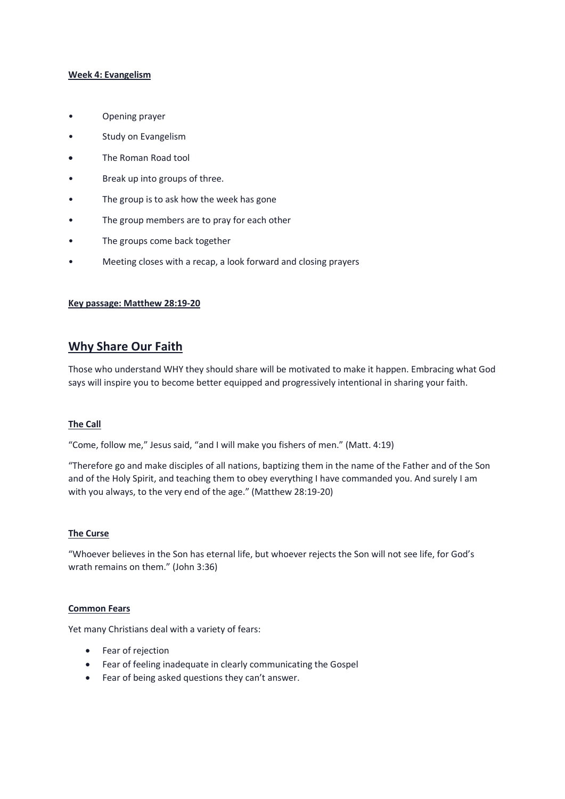## Week 4: Evangelism

- Opening prayer
- Study on Evangelism
- The Roman Road tool
- Break up into groups of three.
- The group is to ask how the week has gone
- The group members are to pray for each other
- The groups come back together
- Meeting closes with a recap, a look forward and closing prayers

### Key passage: Matthew 28:19-20

# Why Share Our Faith

Those who understand WHY they should share will be motivated to make it happen. Embracing what God says will inspire you to become better equipped and progressively intentional in sharing your faith.

### The Call

"Come, follow me," Jesus said, "and I will make you fishers of men." (Matt. 4:19)

"Therefore go and make disciples of all nations, baptizing them in the name of the Father and of the Son and of the Holy Spirit, and teaching them to obey everything I have commanded you. And surely I am with you always, to the very end of the age." (Matthew 28:19-20)

## The Curse

"Whoever believes in the Son has eternal life, but whoever rejects the Son will not see life, for God's wrath remains on them." (John 3:36)

#### Common Fears

Yet many Christians deal with a variety of fears:

- Fear of rejection
- Fear of feeling inadequate in clearly communicating the Gospel
- Fear of being asked questions they can't answer.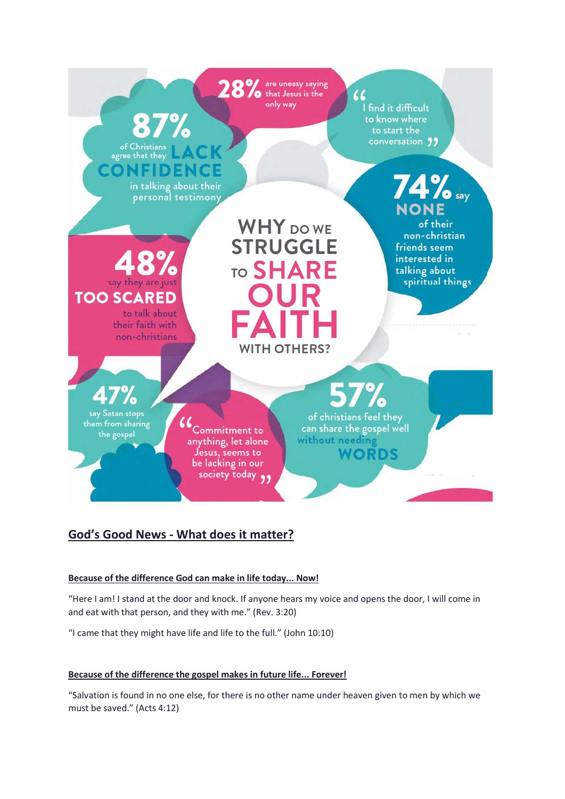

# God's Good News - What does it matter?

# Because of the difference God can make in life today... Now!

"Here I am! I stand at the door and knock. If anyone hears my voice and opens the door, I will come in and eat with that person, and they with me." (Rev. 3:20)

"I came that they might have life and life to the full." (John 10:10)

# Because of the difference the gospel makes in future life... Forever!

"Salvation is found in no one else, for there is no other name under heaven given to men by which we must be saved." (Acts 4:12)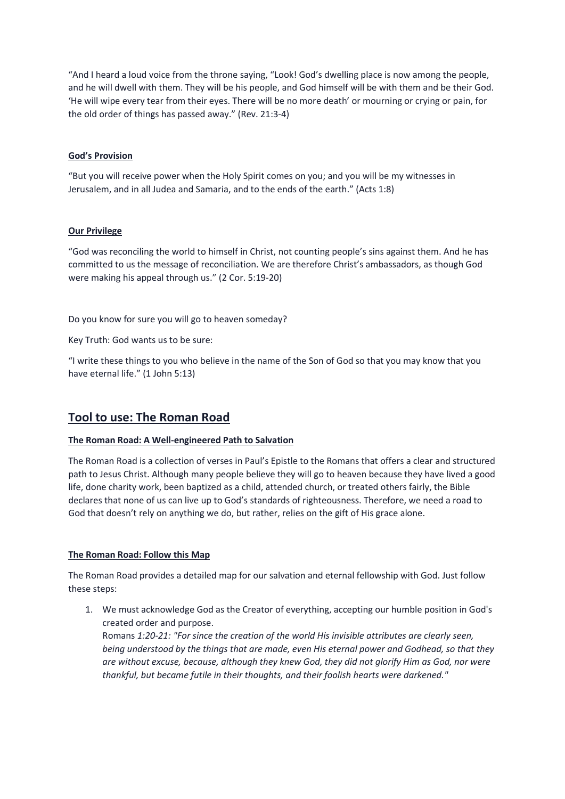"And I heard a loud voice from the throne saying, "Look! God's dwelling place is now among the people, and he will dwell with them. They will be his people, and God himself will be with them and be their God. 'He will wipe every tear from their eyes. There will be no more death' or mourning or crying or pain, for the old order of things has passed away." (Rev. 21:3-4)

# God's Provision

"But you will receive power when the Holy Spirit comes on you; and you will be my witnesses in Jerusalem, and in all Judea and Samaria, and to the ends of the earth." (Acts 1:8)

# Our Privilege

"God was reconciling the world to himself in Christ, not counting people's sins against them. And he has committed to us the message of reconciliation. We are therefore Christ's ambassadors, as though God were making his appeal through us." (2 Cor. 5:19-20)

Do you know for sure you will go to heaven someday?

Key Truth: God wants us to be sure:

"I write these things to you who believe in the name of the Son of God so that you may know that you have eternal life." (1 John 5:13)

# Tool to use: The Roman Road

# The Roman Road: A Well-engineered Path to Salvation

The Roman Road is a collection of verses in Paul's Epistle to the Romans that offers a clear and structured path to Jesus Christ. Although many people believe they will go to heaven because they have lived a good life, done charity work, been baptized as a child, attended church, or treated others fairly, the Bible declares that none of us can live up to God's standards of righteousness. Therefore, we need a road to God that doesn't rely on anything we do, but rather, relies on the gift of His grace alone.

# The Roman Road: Follow this Map

The Roman Road provides a detailed map for our salvation and eternal fellowship with God. Just follow these steps:

1. We must acknowledge God as the Creator of everything, accepting our humble position in God's created order and purpose.

Romans 1:20-21: "For since the creation of the world His invisible attributes are clearly seen, being understood by the things that are made, even His eternal power and Godhead, so that they are without excuse, because, although they knew God, they did not glorify Him as God, nor were thankful, but became futile in their thoughts, and their foolish hearts were darkened."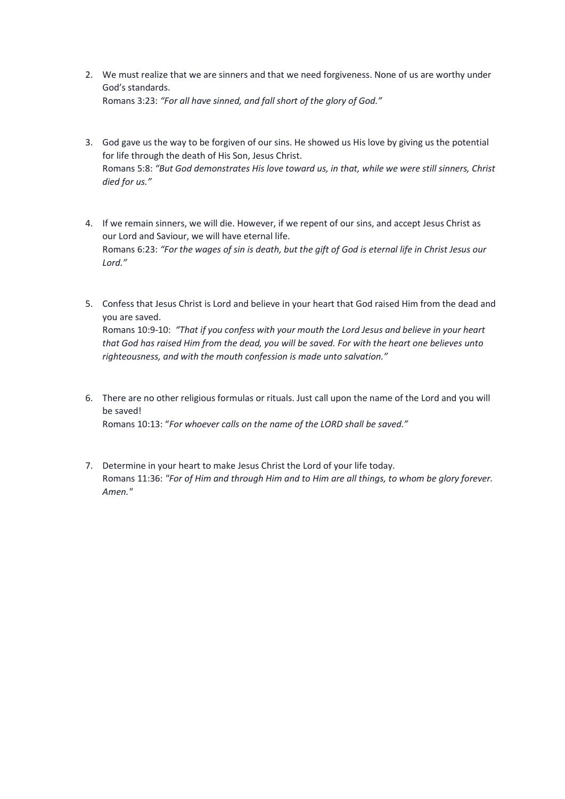- 2. We must realize that we are sinners and that we need forgiveness. None of us are worthy under God's standards. Romans 3:23: "For all have sinned, and fall short of the glory of God."
- 3. God gave us the way to be forgiven of our sins. He showed us His love by giving us the potential for life through the death of His Son, Jesus Christ. Romans 5:8: "But God demonstrates His love toward us, in that, while we were still sinners, Christ died for us."
- 4. If we remain sinners, we will die. However, if we repent of our sins, and accept Jesus Christ as our Lord and Saviour, we will have eternal life. Romans 6:23: "For the wages of sin is death, but the gift of God is eternal life in Christ Jesus our Lord."
- 5. Confess that Jesus Christ is Lord and believe in your heart that God raised Him from the dead and you are saved. Romans 10:9-10: "That if you confess with your mouth the Lord Jesus and believe in your heart

that God has raised Him from the dead, you will be saved. For with the heart one believes unto righteousness, and with the mouth confession is made unto salvation."

- 6. There are no other religious formulas or rituals. Just call upon the name of the Lord and you will be saved! Romans 10:13: "For whoever calls on the name of the LORD shall be saved."
- 7. Determine in your heart to make Jesus Christ the Lord of your life today. Romans 11:36: "For of Him and through Him and to Him are all things, to whom be glory forever. Amen."